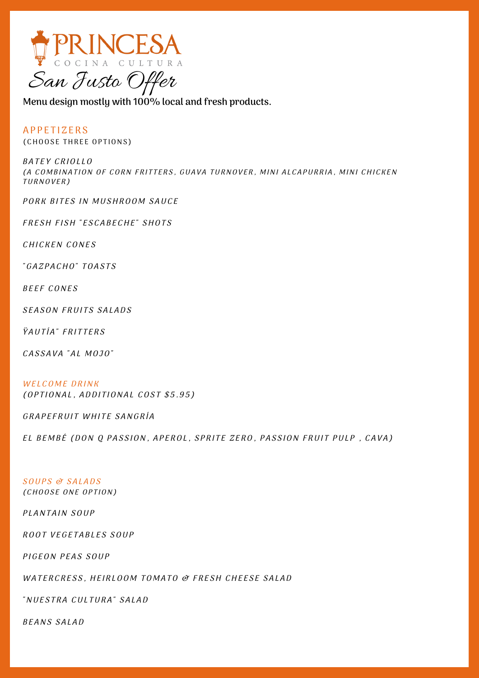

**Menu design mostly with 100% local and fresh products.**

**APPETIZERS** (CHOOSE THREE OPTIONS)

BATEY CRIOLLO (A COMBINATION OF CORN FRITTERS, GUAVA TURNOVER, MINI ALCAPURRIA, MINI CHICKEN TURNOVER)

PORK BITES IN MUSHROOM SAUCE

FRESH FISH "ESCABECHE" SHOTS

CHICKEN CONES

"GAZPACHO" TOASTS

BEEF CONES

SEASON FRUITS SALADS

**ŸAUTÍA**" FRITTERS

CASSAVA "AL MOJO"

WELCOME DRINK (OPTIONAL, ADDITIONAL COST \$5.95)

GRAPEFRUIT WHITE SANGRÍA

EL BEMBÉ (DON O PASSION, APEROL, SPRITE ZERO, PASSION FRUIT PULP, CAVA)

SOUPS & SALADS

(CHOOSE ONE OPTION)

PLANTAIN SOUP

ROOT VEGETABLES SOUP

PIGEON PEAS SOUP

WATERCRESS, HEIRLOOM TOMATO & FRESH CHEESE SALAD

"NUESTRA CULTURA" SALAD

BEANS SALAD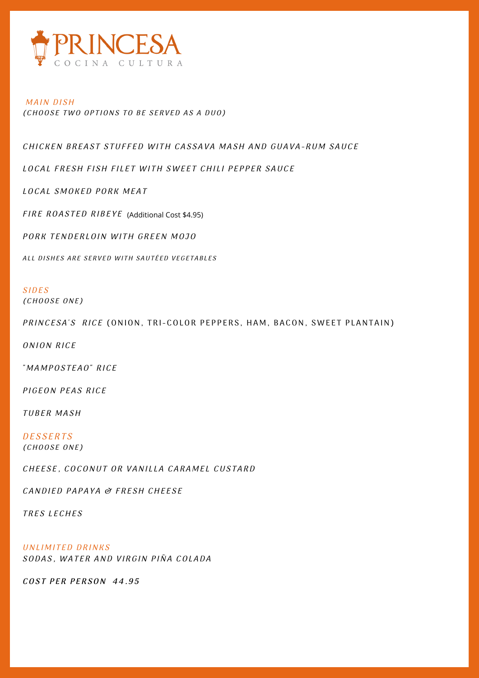

#### MAIN DISH (CHOOSE TWO OPTIONS TO BE SERVED AS A DUO)

CHICKEN BREAST STUFFED WITH CASSAVA MASH AND GUAVA-RUM SAUCE

LOCAL FRESH FISH FILET WITH SWEET CHILI PEPPER SAUCE

LOCAL SMOKED PORK MEAT

F IRE ROA S T ED RI B E Y E (Additional Cost \$4.95)

PORK TENDERLOIN WITH GREEN MOJO

ALL DISHES ARE SERVED WITH SAUTÉED VEGETABLES

## **SIDES**

(CHOOSE ONE)

PRINCESA'S RICE (ONION, TRI-COLOR PEPPERS, HAM, BACON, SWEET PLANTAIN)

ONION RICE

" MAMPOSTEAO" RICE

PIGEON PEAS RICE

TUBER MASH

**DESSERTS** (CHOOSE ONE)

CHEESE, COCONUT OR VANILLA CARAMEL CUSTARD

CANDIED PAPAYA & FRESH CHEESE

TRES LECHES

UNLIMITED DRINKS SODAS, WATER AND VIRGIN PIÑA COLADA

COST PER PERSON 44.95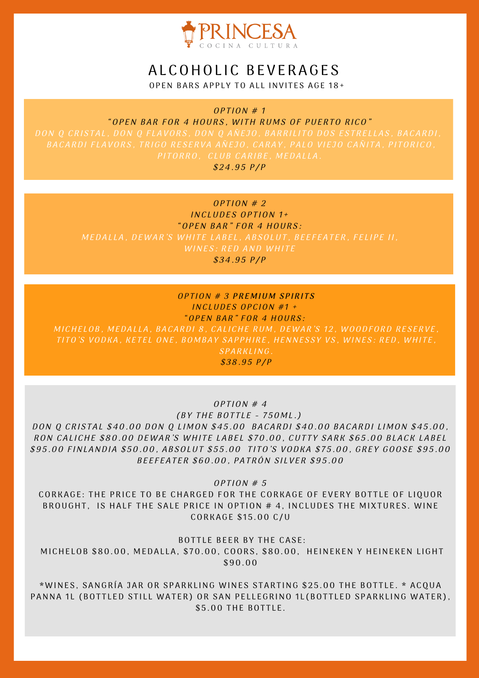

# ALCOHOLIC BEVERAGES

OPEN BARS APPLY TO ALL INVITES AGE 18+

 $OPTION # 1$ "OPEN BAR FOR 4 HOURS, WITH RUMS OF PUERTO RICO" DON O CRISTAL, DON O FLAVORS, DON O AÑEJO, BARRILITO DOS ESTRELLAS, BACARDI,  $$24.95$  P/P

### $OPTION \# 2$ INCLUDES OPTION  $1+$ "OPEN BAR" FOR 4 HOURS: MEDALLA, DEWAR'S WHITE LABEL, ABSOLUT, BEEFEATER, FELIPE II, WINES: RED AND WHITE

 $$34.95 P/P$ 

## $OPTION # 3 PREMIUM SPIRITS$ INCLUDES OPCION #1 + "OPEN BAR" FOR 4 HOURS:

MICHELOB, MEDALLA, BACARDI 8, CALICHE RUM, DEWAR'S 12, WOODFORD RESERVE, TITO'S VODKA, KETEL ONE, BOMBAY SAPPHIRE, HENNESSY VS, WINES: RED, WHITE, SPARKLING.

 $$38.95 P/P$ 

 $OPTION \# 4$ 

(BY THE BOTTLE - 750ML.) DON Q CRISTAL \$40.00 DON Q LIMON \$45.00 BACARDI \$40.00 BACARDI LIMON \$45.00, RON CALICHE \$80.00 DEWAR'S WHITE LABEL \$70.00, CUTTY SARK \$65.00 BLACK LABEL \$95.00 FINLANDIA \$50.00, ABSOLUT \$55.00 TITO'S VODKA \$75.00, GREY GOOSE \$95.00 BEEFEATER \$60.00, PATRÓN SILVER \$95.00

 $OPTION \# 5$ 

CORKAGE: THE PRICE TO BE CHARGED FOR THE CORKAGE OF EVERY BOTTLE OF LIQUOR BROUGHT, IS HALF THE SALE PRICE IN OPTION # 4, INCLUDES THE MIXTURES. WINE CORK AGE \$ 1 5 .00 C/U

BOTTLE BEER BY THE CASE:

MICHELOB \$80.00, MEDALLA, \$70.00, COORS, \$80.00, HEINEKEN Y HEINEKEN LIGHT \$ 90.00

\*WINES, SANGRÍA JAR OR SPARKLING WINES STARTING \$25.00 THE BOTTLE. \* ACQUA PANNA 1L (BOTTLED STILL WATER) OR SAN PELLEGRINO 1L (BOTTLED SPARKLING WATER), \$5.00 THE BOTTLE.